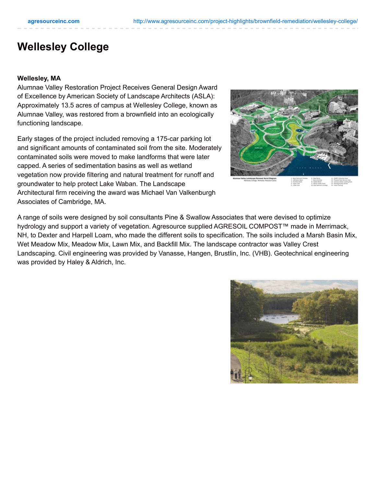## **Wellesley College**

## **Wellesley, MA**

Alumnae Valley Restoration Project Receives General Design Award of Excellence by American Society of Landscape Architects (ASLA): Approximately 13.5 acres of campus at Wellesley College, known as Alumnae Valley, was restored from a brownfield into an ecologically functioning landscape.

Early stages of the project included removing a 175-car parking lot and significant amounts of contaminated soil from the site. Moderately contaminated soils were moved to make landforms that were later capped. A series of sedimentation basins as well as wetland vegetation now provide filtering and natural treatment for runoff and groundwater to help protect Lake Waban. The Landscape Architectural firm receiving the award was Michael Van Valkenburgh Associates of Cambridge, MA.



A range of soils were designed by soil consultants Pine & Swallow Associates that were devised to optimize hydrology and support a variety of vegetation. Agresource supplied AGRESOIL COMPOST™ made in Merrimack, NH, to Dexter and Harpell Loam, who made the different soils to specification. The soils included a Marsh Basin Mix, Wet Meadow Mix, Meadow Mix, Lawn Mix, and Backfill Mix. The landscape contractor was Valley Crest Landscaping. Civil engineering was provided by Vanasse, Hangen, Brustlin, Inc. (VHB). Geotechnical engineering was provided by Haley & Aldrich, Inc.